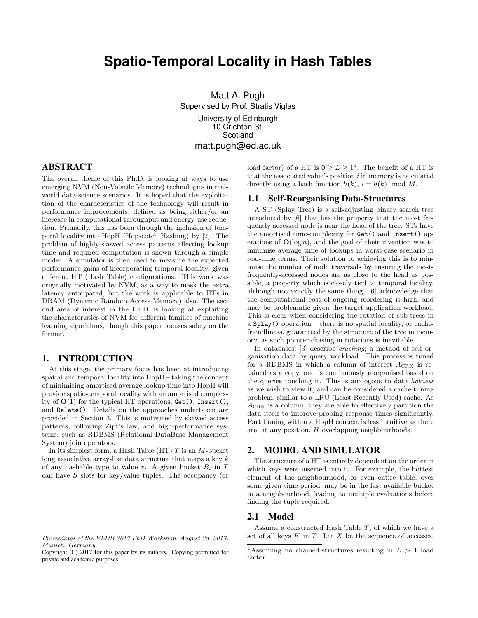# **Spatio-Temporal Locality in Hash Tables**

Matt A. Pugh Supervised by Prof. Stratis Viglas University of Edinburgh 10 Crichton St. Scotland matt.pugh@ed.ac.uk

# ABSTRACT

The overall theme of this Ph.D. is looking at ways to use emerging NVM (Non-Volatile Memory) technologies in realworld data-science scenarios. It is hoped that the exploitation of the characteristics of the technology will result in performance improvements, defined as being either/or an increase in computational throughput and energy-use reduction. Primarily, this has been through the inclusion of temporal locality into HopH (Hopscotch Hashing) by [2]. The problem of highly-skewed access patterns affecting lookup time and required computation is shown through a simple model. A simulator is then used to measure the expected performance gains of incorporating temporal locality, given different HT (Hash Table) configurations. This work was originally motivated by NVM, as a way to mask the extra latency anticipated, but the work is applicable to HTs in DRAM (Dynamic Random-Access Memory) also. The second area of interest in the Ph.D. is looking at exploiting the characteristics of NVM for different families of machine learning algorithms, though this paper focuses solely on the former.

## 1. INTRODUCTION

At this stage, the primary focus has been at introducing spatial and temporal locality into HopH – taking the concept of minimising amortised average lookup time into HopH will provide spatio-temporal locality with an amortised complexity of  $O(1)$  for the typical HT operations; Get(), Insert(), and Delete(). Details on the approaches undertaken are provided in Section 3. This is motivated by skewed access patterns, following Zipf's law, and high-performance systems, such as RDBMS (Relational DataBase Management System) join operators.

In its simplest form, a Hash Table  $(HT)$  T is an M-bucket long associative array-like data structure that maps a key  $k$ of any hashable type to value v. A given bucket  $B_i$  in T can have S slots for key/value tuples. The occupancy (or

Copyright (C) 2017 for this paper by its authors. Copying permitted for private and academic purposes.

load factor) of a HT is  $0 \ge L \ge 1^1$ . The benefit of a HT is that the associated value's position  $i$  in memory is calculated directly using a hash function  $h(k)$ ,  $i = h(k) \mod M$ .

# 1.1 Self-Reorganising Data-Structures

A ST (Splay Tree) is a self-adjusting binary search tree introduced by [6] that has the property that the most frequently accessed node is near the head of the tree. STs have the amortised time-complexity for Get() and Insert() operations of  $\mathbf{O}(\log n)$ , and the goal of their invention was to minimise average time of lookups in worst-case scenario in real-time terms. Their solution to achieving this is to minimise the number of node traversals by ensuring the mostfrequently-accessed nodes are as close to the head as possible, a property which is closely tied to temporal locality, although not exactly the same thing. [6] acknowledge that the computational cost of ongoing reordering is high, and may be problematic given the target application workload. This is clear when considering the rotation of sub-trees in a Splay() operation – there is no spatial locality, or cachefriendliness, guaranteed by the structure of the tree in memory, as such pointer-chasing in rotations is inevitable.

In databases, [3] describe cracking; a method of self organisation data by query workload. This process is tuned for a RDBMS in which a column of interest  $A_{\text{CRK}}$  is retained as a copy, and is continuously reorganised based on the queries touching it. This is analogous to data hotness as we wish to view it, and can be considered a cache-tuning problem, similar to a LRU (Least Recently Used) cache. As ACRK is a column, they are able to effectively partition the data itself to improve probing response times significantly. Partitioning within a HopH context is less intuitive as there are, at any position, H overlapping neighbourhoods.

# 2. MODEL AND SIMULATOR

The structure of a HT is entirely dependent on the order in which keys were inserted into it. For example, the hottest element of the neighbourhood, or even entire table, over some given time period, may be in the last available bucket in a neighbourhood, leading to multiple evaluations before finding the tuple required.

## 2.1 Model

Assume a constructed Hash Table  $T$ , of which we have a set of all keys  $K$  in  $T$ . Let  $X$  be the sequence of accesses,

Proceedings of the VLDB 2017 PhD Workshop, August 28, 2017. Munich, Germany.

<sup>&</sup>lt;sup>1</sup>Assuming no chained-structures resulting in  $L > 1$  load factor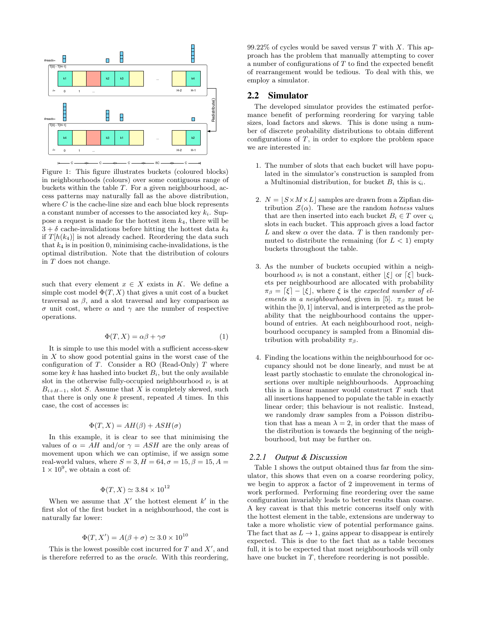

Figure 1: This figure illustrates buckets (coloured blocks) in neighbourhoods (colours) over some contiguous range of buckets within the table  $T$ . For a given neighbourhood, access patterns may naturally fall as the above distribution, where  $C$  is the cache-line size and each blue block represents a constant number of accesses to the associated key  $k_i$ . Suppose a request is made for the hottest item  $k_4$ , there will be  $3 + \delta$  cache-invalidations before hitting the hottest data  $k_4$ if  $T[h(k_4)]$  is not already cached. Reordering the data such that  $k_4$  is in position 0, minimising cache-invalidations, is the optimal distribution. Note that the distribution of colours in T does not change.

such that every element  $x \in X$  exists in K. We define a simple cost model  $\Phi(T, X)$  that gives a unit cost of a bucket traversal as  $\beta$ , and a slot traversal and key comparison as σ unit cost, where α and γ are the number of respective operations.

$$
\Phi(T, X) = \alpha \beta + \gamma \sigma \tag{1}
$$

It is simple to use this model with a sufficient access-skew in  $X$  to show good potential gains in the worst case of the configuration of  $T$ . Consider a RO (Read-Only)  $T$  where some key k has hashed into bucket  $B_i$ , but the only available slot in the otherwise fully-occupied neighbourhood  $\nu_i$  is at  $B_{i+H-1}$ , slot S. Assume that X is completely skewed, such that there is only one  $k$  present, repeated  $A$  times. In this case, the cost of accesses is:

$$
\Phi(T, X) = AH(\beta) + ASH(\sigma)
$$

In this example, it is clear to see that minimising the values of  $\alpha = AH$  and/or  $\gamma = ASH$  are the only areas of movement upon which we can optimise, if we assign some real-world values, where  $S = 3, H = 64, \sigma = 15, \beta = 15, A = 1$  $1 \times 10^9$ , we obtain a cost of:

# $\Phi(T, X) \simeq 3.84 \times 10^{12}$

When we assume that  $X'$  the hottest element  $k'$  in the first slot of the first bucket in a neighbourhood, the cost is naturally far lower:

$$
\Phi(T, X') = A(\beta + \sigma) \simeq 3.0 \times 10^{10}
$$

This is the lowest possible cost incurred for  $T$  and  $X'$ , and is therefore referred to as the oracle. With this reordering, 99.22% of cycles would be saved versus  $T$  with  $X$ . This approach has the problem that manually attempting to cover a number of configurations of T to find the expected benefit of rearrangement would be tedious. To deal with this, we employ a simulator.

#### 2.2 Simulator

The developed simulator provides the estimated performance benefit of performing reordering for varying table sizes, load factors and skews. This is done using a number of discrete probability distributions to obtain different configurations of  $T$ , in order to explore the problem space we are interested in:

- 1. The number of slots that each bucket will have populated in the simulator's construction is sampled from a Multinomial distribution, for bucket  $B_i$  this is  $\zeta_i$ .
- 2.  $N = |S \times M \times L|$  samples are drawn from a Zipfian distribution  $\mathcal{Z}(\alpha)$ . These are the random *hotness* values that are then inserted into each bucket  $B_i \in T$  over  $\varsigma_i$ slots in each bucket. This approach gives a load factor L and skew  $\alpha$  over the data. T is then randomly permuted to distribute the remaining (for  $L < 1$ ) empty buckets throughout the table.
- 3. As the number of buckets occupied within a neighbourhood  $\nu_i$  is not a constant, either  $|\xi|$  or  $\lceil \xi \rceil$  buckets per neighbourhood are allocated with probability  $\pi_{\beta} = [\xi] - [\xi]$ , where  $\xi$  is the expected number of elements in a neighbourhood, given in [5].  $\pi_{\beta}$  must be within the [0, 1] interval, and is interpreted as the probability that the neighbourhood contains the upperbound of entries. At each neighbourhood root, neighbourhood occupancy is sampled from a Binomial distribution with probability  $\pi_{\beta}$ .
- 4. Finding the locations within the neighbourhood for occupancy should not be done linearly, and must be at least partly stochastic to emulate the chronological insertions over multiple neighbourhoods. Approaching this in a linear manner would construct  $T$  such that all insertions happened to populate the table in exactly linear order; this behaviour is not realistic. Instead, we randomly draw samples from a Poisson distribution that has a mean  $\lambda = 2$ , in order that the mass of the distribution is towards the beginning of the neighbourhood, but may be further on.

#### *2.2.1 Output & Discussion*

Table 1 shows the output obtained thus far from the simulator, this shows that even on a coarse reordering policy, we begin to approx a factor of 2 improvement in terms of work performed. Performing fine reordering over the same configuration invariably leads to better results than coarse. A key caveat is that this metric concerns itself only with the hottest element in the table, extensions are underway to take a more wholistic view of potential performance gains. The fact that as  $L \to 1$ , gains appear to disappear is entirely expected. This is due to the fact that as a table becomes full, it is to be expected that most neighbourhoods will only have one bucket in  $T$ , therefore reordering is not possible.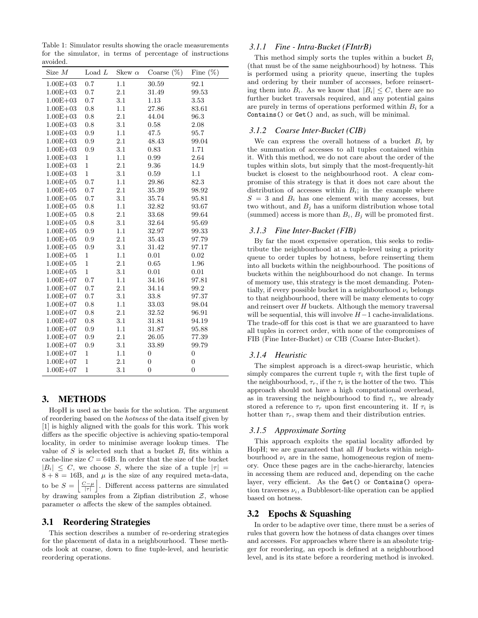Table 1: Simulator results showing the oracle measurements for the simulator, in terms of percentage of instructions avoided.

| Size $M$     | Load $L$       | Skew $\alpha$ | Coarse $(\%)$  | Fine $(\%)$    |
|--------------|----------------|---------------|----------------|----------------|
| $1.00E + 03$ | 0.7            | 1.1           | 30.59          | 92.1           |
| $1.00E + 03$ | 0.7            | 2.1           | 31.49          | 99.53          |
| $1.00E + 03$ | 0.7            | 3.1           | 1.13           | 3.53           |
| $1.00E + 03$ | 0.8            | 1.1           | 27.86          | 83.61          |
| $1.00E + 03$ | 0.8            | 2.1           | 44.04          | 96.3           |
| $1.00E + 03$ | 0.8            | 3.1           | $0.58\,$       | 2.08           |
| $1.00E + 03$ | 0.9            | 1.1           | 47.5           | 95.7           |
| $1.00E + 03$ | 0.9            | 2.1           | 48.43          | 99.04          |
| $1.00E + 03$ | 0.9            | 3.1           | 0.83           | 1.71           |
| $1.00E + 03$ | $\mathbf{1}$   | 1.1           | 0.99           | 2.64           |
| $1.00E + 03$ | $\overline{1}$ | 2.1           | 9.36           | 14.9           |
| $1.00E + 03$ | $\mathbf{1}$   | 3.1           | 0.59           | $1.1\,$        |
| $1.00E + 05$ | 0.7            | 1.1           | 29.86          | 82.3           |
| $1.00E + 05$ | 0.7            | 2.1           | 35.39          | 98.92          |
| $1.00E + 05$ | 0.7            | 3.1           | 35.74          | 95.81          |
| $1.00E + 05$ | 0.8            | 1.1           | 32.82          | 93.67          |
| $1.00E + 05$ | 0.8            | 2.1           | 33.68          | 99.64          |
| $1.00E + 05$ | 0.8            | 3.1           | 32.64          | 95.69          |
| $1.00E + 05$ | 0.9            | 1.1           | 32.97          | 99.33          |
| $1.00E + 05$ | 0.9            | 2.1           | 35.43          | 97.79          |
| $1.00E + 05$ | 0.9            | 3.1           | 31.42          | 97.17          |
| $1.00E + 05$ | $\mathbf{1}$   | 1.1           | 0.01           | 0.02           |
| $1.00E + 05$ | $\mathbf{1}$   | 2.1           | 0.65           | 1.96           |
| $1.00E + 05$ | $\mathbf{1}$   | 3.1           | 0.01           | 0.01           |
| $1.00E + 07$ | 0.7            | 1.1           | 34.16          | 97.81          |
| $1.00E + 07$ | 0.7            | 2.1           | 34.14          | 99.2           |
| $1.00E + 07$ | 0.7            | 3.1           | 33.8           | 97.37          |
| $1.00E + 07$ | 0.8            | 1.1           | 33.03          | 98.04          |
| $1.00E + 07$ | 0.8            | 2.1           | 32.52          | 96.91          |
| $1.00E + 07$ | 0.8            | 3.1           | 31.81          | 94.19          |
| $1.00E + 07$ | 0.9            | 1.1           | 31.87          | 95.88          |
| $1.00E + 07$ | 0.9            | 2.1           | 26.05          | 77.39          |
| $1.00E + 07$ | 0.9            | 3.1           | 33.89          | 99.79          |
| $1.00E + 07$ | $\mathbf{1}$   | 1.1           | $\overline{0}$ | $\overline{0}$ |
| $1.00E + 07$ | $\overline{1}$ | 2.1           | $\overline{0}$ | $\overline{0}$ |
| $1.00E + 07$ | $\overline{1}$ | 3.1           | $\overline{0}$ | $\overline{0}$ |

# 3. METHODS

HopH is used as the basis for the solution. The argument of reordering based on the hotness of the data itself given by [1] is highly aligned with the goals for this work. This work differs as the specific objective is achieving spatio-temporal locality, in order to minimise average lookup times. The value of S is selected such that a bucket  $B_i$  fits within a cache-line size  $C = 64B$ . In order that the size of the bucket  $|B_i| \leq C$ , we choose S, where the size of a tuple  $|\tau| =$  $8 + 8 = 16B$ , and  $\mu$  is the size of any required meta-data, to be  $S = \left| \frac{C - \mu}{\vert \tau \vert} \right|$ . Different access patterns are simulated by drawing samples from a Zipfian distribution  $\mathcal{Z}$ , whose parameter  $\alpha$  affects the skew of the samples obtained.

## 3.1 Reordering Strategies

This section describes a number of re-ordering strategies for the placement of data in a neighbourhood. These methods look at coarse, down to fine tuple-level, and heuristic reordering operations.

#### *3.1.1 Fine - Intra-Bucket (FIntrB)*

This method simply sorts the tuples within a bucket  $B_i$ (that must be of the same neighbourhood) by hotness. This is performed using a priority queue, inserting the tuples and ordering by their number of accesses, before reinserting them into  $B_i$ . As we know that  $|B_i| \leq C$ , there are no further bucket traversals required, and any potential gains are purely in terms of operations performed within  $B_i$  for a Contains() or Get() and, as such, will be minimal.

# *3.1.2 Coarse Inter-Bucket (CIB)*

We can express the overall hotness of a bucket  $B_i$  by the summation of accesses to all tuples contained within it. With this method, we do not care about the order of the tuples within slots, but simply that the most-frequently-hit bucket is closest to the neighbourhood root. A clear compromise of this strategy is that it does not care about the distribution of accesses within  $B_i$ ; in the example where  $S = 3$  and  $B_i$  has one element with many accesses, but two without, and  $B_j$  has a uniform distribution whose total (summed) access is more than  $B_i$ ,  $B_j$  will be promoted first.

#### *3.1.3 Fine Inter-Bucket (FIB)*

By far the most expensive operation, this seeks to redistribute the neighbourhood at a tuple-level using a priority queue to order tuples by hotness, before reinserting them into all buckets within the neighbourhood. The positions of buckets within the neighbourhood do not change. In terms of memory use, this strategy is the most demanding. Potentially, if every possible bucket in a neighbourhood  $\nu_i$  belongs to that neighbourhood, there will be many elements to copy and reinsert over  $H$  buckets. Although the memory traversal will be sequential, this will involve  $H-1$  cache-invalidations. The trade-off for this cost is that we are guaranteed to have all tuples in correct order, with none of the compromises of FIB (Fine Inter-Bucket) or CIB (Coarse Inter-Bucket).

#### *3.1.4 Heuristic*

The simplest approach is a direct-swap heuristic, which simply compares the current tuple  $\tau_i$  with the first tuple of the neighbourhood,  $\tau_r$ , if the  $\tau_i$  is the hotter of the two. This approach should not have a high computational overhead, as in traversing the neighbourhood to find  $\tau_i$ , we already stored a reference to  $\tau_r$  upon first encountering it. If  $\tau_i$  is hotter than  $\tau_r$ , swap them and their distribution entries.

## *3.1.5 Approximate Sorting*

This approach exploits the spatial locality afforded by HopH; we are guaranteed that all  $H$  buckets within neighbourhood  $\nu_i$  are in the same, homogeneous region of memory. Once these pages are in the cache-hierarchy, latencies in accessing them are reduced and, depending on the cache layer, very efficient. As the Get() or Contains() operation traverses  $\nu_i$ , a Bubblesort-like operation can be applied based on hotness.

# 3.2 Epochs & Squashing

In order to be adaptive over time, there must be a series of rules that govern how the hotness of data changes over times and accesses. For approaches where there is an absolute trigger for reordering, an epoch is defined at a neighbourhood level, and is its state before a reordering method is invoked.